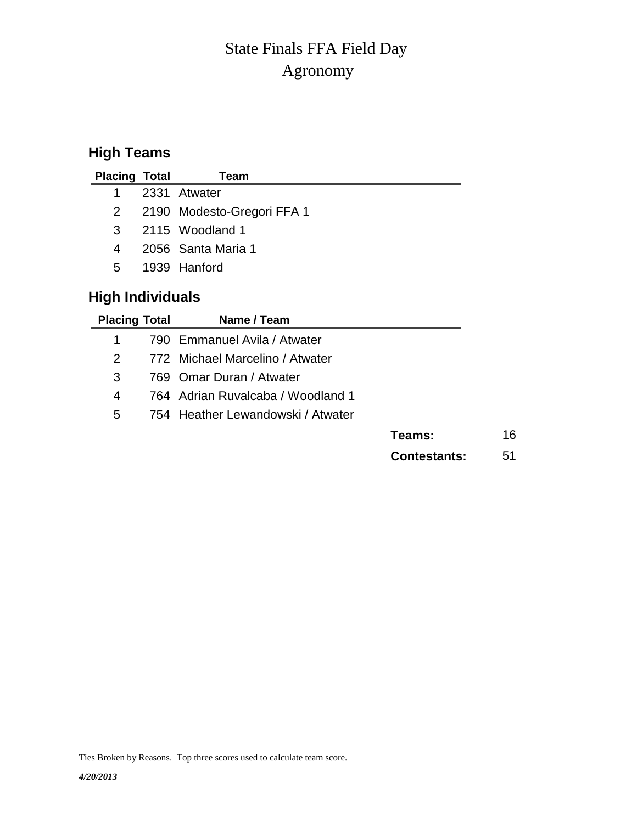# Agronomy State Finals FFA Field Day

# **High Teams**

| <b>Placing Total</b>    | Team                            |  |  |  |  |  |
|-------------------------|---------------------------------|--|--|--|--|--|
| 1                       | 2331 Atwater                    |  |  |  |  |  |
| $\overline{2}$          | 2190 Modesto-Gregori FFA 1      |  |  |  |  |  |
| 3                       | 2115 Woodland 1                 |  |  |  |  |  |
| 4                       | 2056 Santa Maria 1              |  |  |  |  |  |
| 5                       | 1939 Hanford                    |  |  |  |  |  |
| <b>High Individuals</b> |                                 |  |  |  |  |  |
| <b>Placing Total</b>    | Name / Team                     |  |  |  |  |  |
| 1                       | 790 Emmanuel Avila / Atwater    |  |  |  |  |  |
| 2                       | 772 Michael Marcelino / Atwater |  |  |  |  |  |
| 3                       | 769 Omar Duran / Atwater        |  |  |  |  |  |

- 4 764 Adrian Ruvalcaba / Woodland 1
- 5 754 Heather Lewandowski / Atwater

**Contestants:** 51

Ties Broken by Reasons. Top three scores used to calculate team score.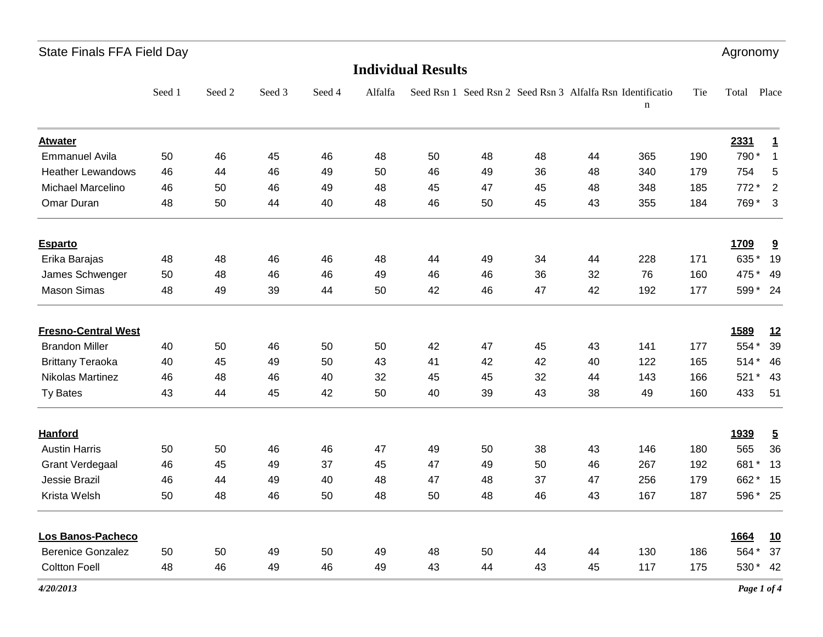| <b>State Finals FFA Field Day</b> |        |        |        |        |         |                           |    |                                                            |    |             |     | Agronomy |                |
|-----------------------------------|--------|--------|--------|--------|---------|---------------------------|----|------------------------------------------------------------|----|-------------|-----|----------|----------------|
|                                   |        |        |        |        |         | <b>Individual Results</b> |    |                                                            |    |             |     |          |                |
|                                   | Seed 1 | Seed 2 | Seed 3 | Seed 4 | Alfalfa |                           |    | Seed Rsn 1 Seed Rsn 2 Seed Rsn 3 Alfalfa Rsn Identificatio |    | $\mathbf n$ | Tie | Total    | Place          |
| <b>Atwater</b>                    |        |        |        |        |         |                           |    |                                                            |    |             |     | 2331     | 1              |
| <b>Emmanuel Avila</b>             | 50     | 46     | 45     | 46     | 48      | 50                        | 48 | 48                                                         | 44 | 365         | 190 | 790*     | $\overline{1}$ |
| <b>Heather Lewandows</b>          | 46     | 44     | 46     | 49     | 50      | 46                        | 49 | 36                                                         | 48 | 340         | 179 | 754      | 5              |
| <b>Michael Marcelino</b>          | 46     | 50     | 46     | 49     | 48      | 45                        | 47 | 45                                                         | 48 | 348         | 185 | 772 *    | $\overline{2}$ |
| Omar Duran                        | 48     | 50     | 44     | 40     | 48      | 46                        | 50 | 45                                                         | 43 | 355         | 184 | 769*     | $\mathbf{3}$   |
| <b>Esparto</b>                    |        |        |        |        |         |                           |    |                                                            |    |             |     | 1709     | 9              |
| Erika Barajas                     | 48     | 48     | 46     | 46     | 48      | 44                        | 49 | 34                                                         | 44 | 228         | 171 | 635* 19  |                |
| James Schwenger                   | 50     | 48     | 46     | 46     | 49      | 46                        | 46 | 36                                                         | 32 | 76          | 160 | 475 * 49 |                |
| <b>Mason Simas</b>                | 48     | 49     | 39     | 44     | 50      | 42                        | 46 | 47                                                         | 42 | 192         | 177 | 599 * 24 |                |
| <b>Fresno-Central West</b>        |        |        |        |        |         |                           |    |                                                            |    |             |     | 1589     | <u>12</u>      |
| <b>Brandon Miller</b>             | 40     | 50     | 46     | 50     | 50      | 42                        | 47 | 45                                                         | 43 | 141         | 177 | 554 *    | 39             |
| <b>Brittany Teraoka</b>           | 40     | 45     | 49     | 50     | 43      | 41                        | 42 | 42                                                         | 40 | 122         | 165 | $514*$   | 46             |
| Nikolas Martinez                  | 46     | 48     | 46     | 40     | 32      | 45                        | 45 | 32                                                         | 44 | 143         | 166 | 521 * 43 |                |
| Ty Bates                          | 43     | 44     | 45     | 42     | 50      | 40                        | 39 | 43                                                         | 38 | 49          | 160 | 433      | 51             |
| Hanford                           |        |        |        |        |         |                           |    |                                                            |    |             |     | 1939     | $\overline{5}$ |
| <b>Austin Harris</b>              | 50     | 50     | 46     | 46     | 47      | 49                        | 50 | 38                                                         | 43 | 146         | 180 | 565      | 36             |
| <b>Grant Verdegaal</b>            | 46     | 45     | 49     | 37     | 45      | 47                        | 49 | 50                                                         | 46 | 267         | 192 | 681*     | 13             |
| Jessie Brazil                     | 46     | 44     | 49     | 40     | 48      | 47                        | 48 | 37                                                         | 47 | 256         | 179 | 662 * 15 |                |
| Krista Welsh                      | 50     | 48     | 46     | 50     | 48      | 50                        | 48 | 46                                                         | 43 | 167         | 187 | 596 * 25 |                |
| Los Banos-Pacheco                 |        |        |        |        |         |                           |    |                                                            |    |             |     | 1664     | <u>10</u>      |
| <b>Berenice Gonzalez</b>          | 50     | 50     | 49     | 50     | 49      | 48                        | 50 | 44                                                         | 44 | 130         | 186 | 564*     | 37             |
| <b>Coltton Foell</b>              | 48     | 46     | 49     | 46     | 49      | 43                        | 44 | 43                                                         | 45 | 117         | 175 | 530 * 42 |                |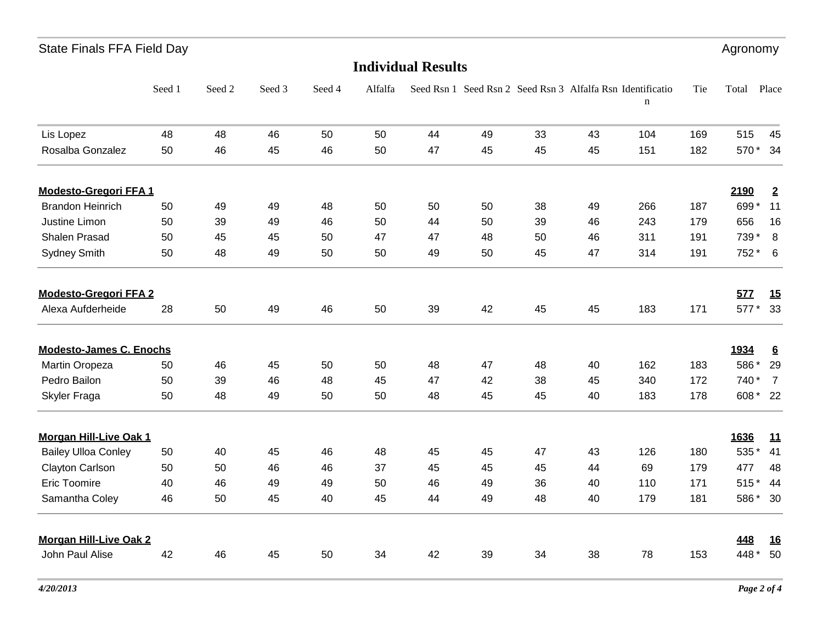| <b>State Finals FFA Field Day</b> |        |        |        |        |         |                           |    |    |    |                                                                 |     | Agronomy |                  |
|-----------------------------------|--------|--------|--------|--------|---------|---------------------------|----|----|----|-----------------------------------------------------------------|-----|----------|------------------|
|                                   |        |        |        |        |         | <b>Individual Results</b> |    |    |    |                                                                 |     |          |                  |
|                                   | Seed 1 | Seed 2 | Seed 3 | Seed 4 | Alfalfa |                           |    |    |    | Seed Rsn 1 Seed Rsn 2 Seed Rsn 3 Alfalfa Rsn Identificatio<br>n | Tie | Total    | Place            |
| Lis Lopez                         | 48     | 48     | 46     | 50     | 50      | 44                        | 49 | 33 | 43 | 104                                                             | 169 | 515      | 45               |
| Rosalba Gonzalez                  | 50     | 46     | 45     | 46     | 50      | 47                        | 45 | 45 | 45 | 151                                                             | 182 | 570 * 34 |                  |
| <b>Modesto-Gregori FFA1</b>       |        |        |        |        |         |                           |    |    |    |                                                                 |     | 2190     | $\overline{2}$   |
| <b>Brandon Heinrich</b>           | 50     | 49     | 49     | 48     | 50      | 50                        | 50 | 38 | 49 | 266                                                             | 187 | 699*     | 11               |
| Justine Limon                     | 50     | 39     | 49     | 46     | 50      | 44                        | 50 | 39 | 46 | 243                                                             | 179 | 656      | 16               |
| Shalen Prasad                     | 50     | 45     | 45     | 50     | 47      | 47                        | 48 | 50 | 46 | 311                                                             | 191 | 739 *    | 8                |
| <b>Sydney Smith</b>               | 50     | 48     | 49     | 50     | 50      | 49                        | 50 | 45 | 47 | 314                                                             | 191 | 752 *    | 6                |
| <b>Modesto-Gregori FFA 2</b>      |        |        |        |        |         |                           |    |    |    |                                                                 |     | 577      | 15               |
| Alexa Aufderheide                 | 28     | 50     | 49     | 46     | 50      | 39                        | 42 | 45 | 45 | 183                                                             | 171 | 577 * 33 |                  |
| <b>Modesto-James C. Enochs</b>    |        |        |        |        |         |                           |    |    |    |                                                                 |     | 1934     | $6 \overline{6}$ |
| Martin Oropeza                    | 50     | 46     | 45     | 50     | 50      | 48                        | 47 | 48 | 40 | 162                                                             | 183 | 586*     | 29               |
| Pedro Bailon                      | 50     | 39     | 46     | 48     | 45      | 47                        | 42 | 38 | 45 | 340                                                             | 172 | 740 *    | $\overline{7}$   |
| Skyler Fraga                      | 50     | 48     | 49     | 50     | 50      | 48                        | 45 | 45 | 40 | 183                                                             | 178 | 608 * 22 |                  |
| <b>Morgan Hill-Live Oak 1</b>     |        |        |        |        |         |                           |    |    |    |                                                                 |     | 1636     | <u>11</u>        |
| <b>Bailey Ulloa Conley</b>        | 50     | 40     | 45     | 46     | 48      | 45                        | 45 | 47 | 43 | 126                                                             | 180 | 535 *    | 41               |
| <b>Clayton Carlson</b>            | 50     | 50     | 46     | 46     | 37      | 45                        | 45 | 45 | 44 | 69                                                              | 179 | 477      | 48               |
| <b>Eric Toomire</b>               | 40     | 46     | 49     | 49     | 50      | 46                        | 49 | 36 | 40 | 110                                                             | 171 | $515*$   | 44               |
| Samantha Coley                    | 46     | 50     | 45     | 40     | 45      | 44                        | 49 | 48 | 40 | 179                                                             | 181 | 586*     | 30               |
| <b>Morgan Hill-Live Oak 2</b>     |        |        |        |        |         |                           |    |    |    |                                                                 |     | 448      | <u>16</u>        |
| John Paul Alise                   | 42     | 46     | 45     | 50     | 34      | 42                        | 39 | 34 | 38 | 78                                                              | 153 | 448 *    | 50               |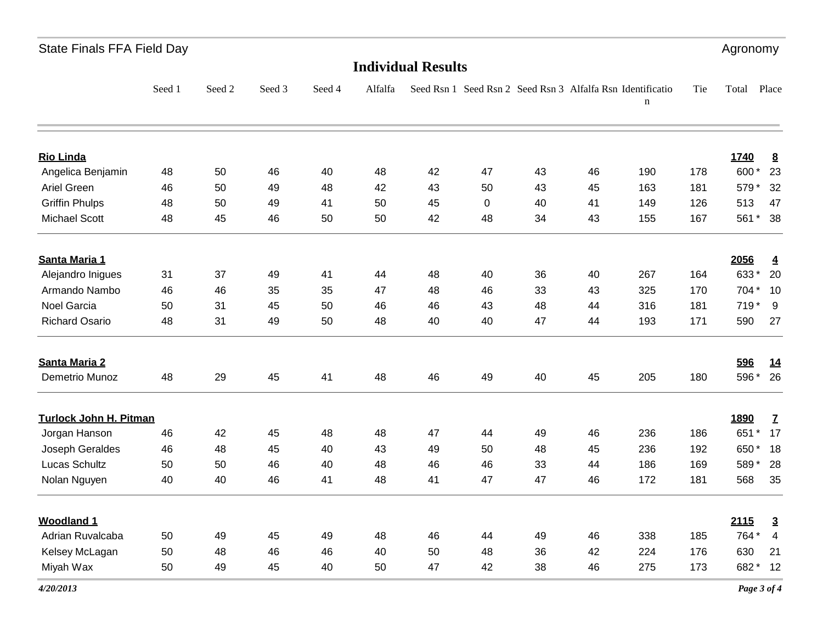| <b>State Finals FFA Field Day</b> |        |        |        |         |    |    |                           |    |             |                                                            | Agronomy |                                     |
|-----------------------------------|--------|--------|--------|---------|----|----|---------------------------|----|-------------|------------------------------------------------------------|----------|-------------------------------------|
|                                   |        |        |        |         |    |    |                           |    |             |                                                            |          |                                     |
| Seed 1                            | Seed 2 | Seed 3 | Seed 4 | Alfalfa |    |    |                           |    | $\mathbf n$ | Tie                                                        | Total    | Place                               |
|                                   |        |        |        |         |    |    |                           |    |             |                                                            |          | 8                                   |
| 48                                | 50     | 46     | 40     | 48      | 42 | 47 | 43                        | 46 | 190         | 178                                                        | 600*     | 23                                  |
| 46                                | 50     | 49     | 48     | 42      | 43 | 50 | 43                        | 45 | 163         | 181                                                        | 579*     | 32                                  |
| 48                                | 50     | 49     | 41     | 50      | 45 | 0  | 40                        | 41 | 149         | 126                                                        | 513      | 47                                  |
| 48                                | 45     | 46     | 50     | 50      | 42 | 48 | 34                        | 43 | 155         | 167                                                        | 561*     | 38                                  |
|                                   |        |        |        |         |    |    |                           |    |             |                                                            |          | $\overline{4}$                      |
| 31                                | 37     | 49     | 41     | 44      | 48 | 40 | 36                        | 40 | 267         | 164                                                        | 633*     | 20                                  |
| 46                                | 46     | 35     | 35     | 47      | 48 | 46 | 33                        | 43 | 325         | 170                                                        | 704 *    | 10                                  |
| 50                                | 31     | 45     | 50     | 46      | 46 | 43 | 48                        | 44 | 316         | 181                                                        | 719*     | 9                                   |
| 48                                | 31     | 49     | 50     | 48      | 40 | 40 | 47                        | 44 | 193         | 171                                                        | 590      | 27                                  |
|                                   |        |        |        |         |    |    |                           |    |             |                                                            | 596      | <u>14</u>                           |
| 48                                | 29     | 45     | 41     | 48      | 46 | 49 | 40                        | 45 | 205         | 180                                                        | 596*     | 26                                  |
| <b>Turlock John H. Pitman</b>     |        |        |        |         |    |    |                           |    |             |                                                            | 1890     | $\mathbf{Z}$                        |
| 46                                | 42     | 45     | 48     | 48      | 47 | 44 | 49                        | 46 | 236         | 186                                                        | 651 *    | 17                                  |
| 46                                | 48     | 45     | 40     | 43      | 49 | 50 | 48                        | 45 | 236         | 192                                                        | 650*     | 18                                  |
| 50                                | 50     | 46     | 40     | 48      | 46 | 46 | 33                        | 44 | 186         | 169                                                        | 589*     | 28                                  |
| 40                                | 40     | 46     | 41     | 48      | 41 | 47 | 47                        | 46 | 172         | 181                                                        | 568      | 35                                  |
|                                   |        |        |        |         |    |    |                           |    |             |                                                            |          | $\overline{3}$                      |
| 50                                | 49     | 45     | 49     | 48      | 46 | 44 | 49                        | 46 | 338         | 185                                                        | 764 *    | $\overline{4}$                      |
| 50                                | 48     | 46     | 46     | 40      | 50 | 48 | 36                        | 42 | 224         | 176                                                        | 630      | 21                                  |
| 50                                | 49     | 45     | 40     | 50      | 47 | 42 | 38                        | 46 | 275         |                                                            |          | 12                                  |
|                                   |        |        |        |         |    |    | <b>Individual Results</b> |    |             | Seed Rsn 1 Seed Rsn 2 Seed Rsn 3 Alfalfa Rsn Identificatio |          | 1740<br>2056<br>2115<br>682*<br>173 |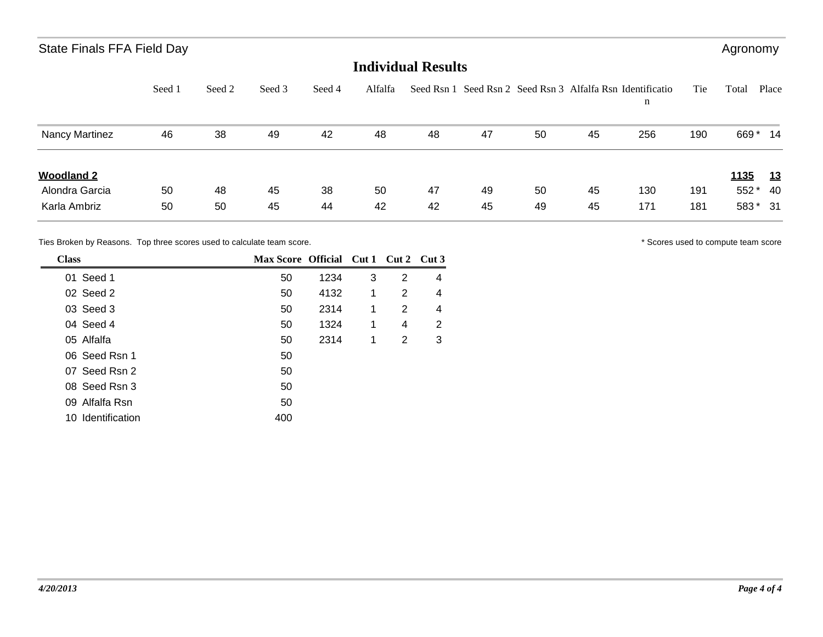### State Finals FFA Field Day **Agronomy** 3. A state Finals FFA Field Day

### **Individual Results**

|                   | Seed 1 | Seed 2 | Seed 3 | Seed 4 | Alfalfa |    |    |    |    | Seed Rsn 1 Seed Rsn 2 Seed Rsn 3 Alfalfa Rsn Identificatio<br>n | Tie | Total       | Place     |
|-------------------|--------|--------|--------|--------|---------|----|----|----|----|-----------------------------------------------------------------|-----|-------------|-----------|
| Nancy Martinez    | 46     | 38     | 49     | 42     | 48      | 48 | 47 | 50 | 45 | 256                                                             | 190 | 669*        | -14       |
| <b>Woodland 2</b> |        |        |        |        |         |    |    |    |    |                                                                 |     | <b>1135</b> | <u>13</u> |
| Alondra Garcia    | 50     | 48     | 45     | 38     | 50      | 47 | 49 | 50 | 45 | 130                                                             | 191 | 552*        | 40        |
| Karla Ambriz      | 50     | 50     | 45     | 44     | 42      | 42 | 45 | 49 | 45 | 171                                                             | 181 | 583 * 31    |           |

Ties Broken by Reasons. Top three scores used to calculate team score.  $\blacksquare$ 

| <b>Class</b>      | Max Score Official Cut 1 Cut 2 Cut 3 |      |   |   |   |
|-------------------|--------------------------------------|------|---|---|---|
| 01 Seed 1         | 50                                   | 1234 | 3 | 2 | 4 |
| 02 Seed 2         | 50                                   | 4132 | 1 | 2 | 4 |
| 03 Seed 3         | 50                                   | 2314 | 1 | 2 | 4 |
| 04 Seed 4         | 50                                   | 1324 | 1 | 4 | 2 |
| 05 Alfalfa        | 50                                   | 2314 | 1 | 2 | 3 |
| 06 Seed Rsn 1     | 50                                   |      |   |   |   |
| 07 Seed Rsn 2     | 50                                   |      |   |   |   |
| 08 Seed Rsn 3     | 50                                   |      |   |   |   |
| 09 Alfalfa Rsn    | 50                                   |      |   |   |   |
| 10 Identification | 400                                  |      |   |   |   |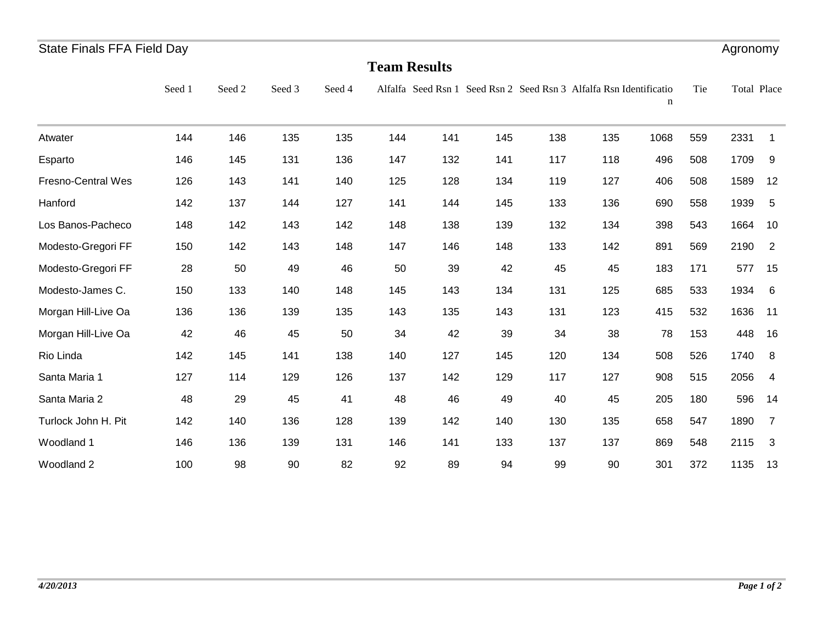| <b>State Finals FFA Field Day</b> |        |        |        |        |     |                     |     |     |                                                                    |      |     | Agronomy    |                |
|-----------------------------------|--------|--------|--------|--------|-----|---------------------|-----|-----|--------------------------------------------------------------------|------|-----|-------------|----------------|
|                                   |        |        |        |        |     | <b>Team Results</b> |     |     |                                                                    |      |     |             |                |
|                                   | Seed 1 | Seed 2 | Seed 3 | Seed 4 |     |                     |     |     | Alfalfa Seed Rsn 1 Seed Rsn 2 Seed Rsn 3 Alfalfa Rsn Identificatio | n    | Tie | Total Place |                |
| Atwater                           | 144    | 146    | 135    | 135    | 144 | 141                 | 145 | 138 | 135                                                                | 1068 | 559 | 2331        | $\mathbf 1$    |
| Esparto                           | 146    | 145    | 131    | 136    | 147 | 132                 | 141 | 117 | 118                                                                | 496  | 508 | 1709        | 9              |
| Fresno-Central Wes                | 126    | 143    | 141    | 140    | 125 | 128                 | 134 | 119 | 127                                                                | 406  | 508 | 1589        | 12             |
| Hanford                           | 142    | 137    | 144    | 127    | 141 | 144                 | 145 | 133 | 136                                                                | 690  | 558 | 1939        | 5              |
| Los Banos-Pacheco                 | 148    | 142    | 143    | 142    | 148 | 138                 | 139 | 132 | 134                                                                | 398  | 543 | 1664        | 10             |
| Modesto-Gregori FF                | 150    | 142    | 143    | 148    | 147 | 146                 | 148 | 133 | 142                                                                | 891  | 569 | 2190        | $\overline{2}$ |
| Modesto-Gregori FF                | 28     | 50     | 49     | 46     | 50  | 39                  | 42  | 45  | 45                                                                 | 183  | 171 | 577         | 15             |
| Modesto-James C.                  | 150    | 133    | 140    | 148    | 145 | 143                 | 134 | 131 | 125                                                                | 685  | 533 | 1934        | 6              |
| Morgan Hill-Live Oa               | 136    | 136    | 139    | 135    | 143 | 135                 | 143 | 131 | 123                                                                | 415  | 532 | 1636        | 11             |
| Morgan Hill-Live Oa               | 42     | 46     | 45     | 50     | 34  | 42                  | 39  | 34  | 38                                                                 | 78   | 153 | 448         | 16             |
| Rio Linda                         | 142    | 145    | 141    | 138    | 140 | 127                 | 145 | 120 | 134                                                                | 508  | 526 | 1740        | 8              |
| Santa Maria 1                     | 127    | 114    | 129    | 126    | 137 | 142                 | 129 | 117 | 127                                                                | 908  | 515 | 2056        | 4              |
| Santa Maria 2                     | 48     | 29     | 45     | 41     | 48  | 46                  | 49  | 40  | 45                                                                 | 205  | 180 | 596         | 14             |
| Turlock John H. Pit               | 142    | 140    | 136    | 128    | 139 | 142                 | 140 | 130 | 135                                                                | 658  | 547 | 1890        | $\overline{7}$ |
| Woodland 1                        | 146    | 136    | 139    | 131    | 146 | 141                 | 133 | 137 | 137                                                                | 869  | 548 | 2115        | 3              |
| Woodland 2                        | 100    | 98     | 90     | 82     | 92  | 89                  | 94  | 99  | 90                                                                 | 301  | 372 | 1135        | 13             |